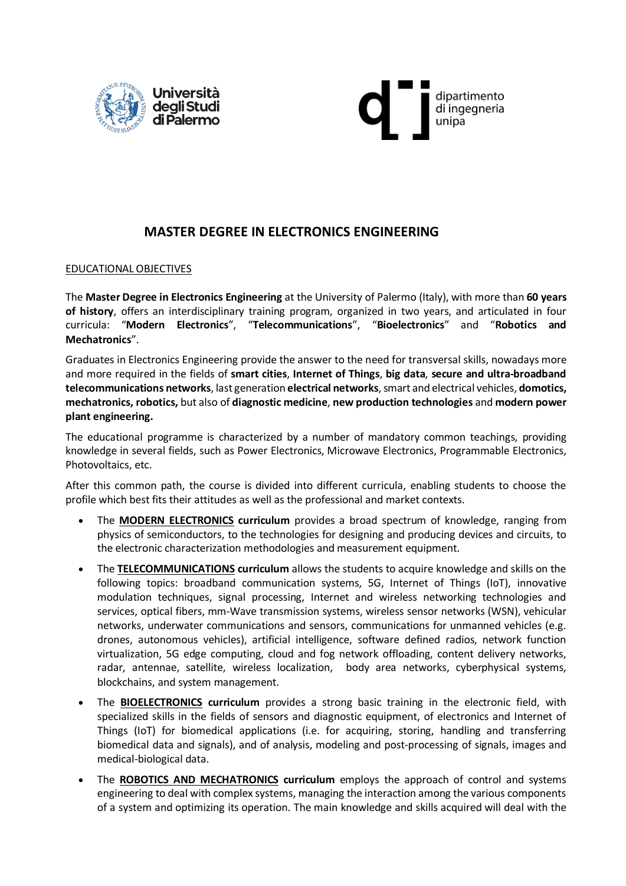



## **MASTER DEGREE IN ELECTRONICS ENGINEERING**

#### EDUCATIONAL OBJECTIVES

The **Master Degree in Electronics Engineering** at the University of Palermo (Italy), with more than **60 years of history**, offers an interdisciplinary training program, organized in two years, and articulated in four curricula: "**Modern Electronics**", "**Telecommunications**", "**Bioelectronics**" and "**Robotics and Mechatronics**".

Graduates in Electronics Engineering provide the answer to the need for transversal skills, nowadays more and more required in the fields of **smart cities**, **Internet of Things**, **big data**, **secure and ultra-broadband telecommunications networks**, last generation **electrical networks**,smart and electrical vehicles, **domotics, mechatronics, robotics,** but also of **diagnostic medicine**, **new production technologies** and **modern power plant engineering.**

The educational programme is characterized by a number of mandatory common teachings, providing knowledge in several fields, such as Power Electronics, Microwave Electronics, Programmable Electronics, Photovoltaics, etc.

After this common path, the course is divided into different curricula, enabling students to choose the profile which best fits their attitudes as well as the professional and market contexts.

- The **MODERN ELECTRONICS curriculum** provides a broad spectrum of knowledge, ranging from physics of semiconductors, to the technologies for designing and producing devices and circuits, to the electronic characterization methodologies and measurement equipment.
- The **TELECOMMUNICATIONS curriculum** allows the students to acquire knowledge and skills on the following topics: broadband communication systems, 5G, Internet of Things (IoT), innovative modulation techniques, signal processing, Internet and wireless networking technologies and services, optical fibers, mm-Wave transmission systems, wireless sensor networks (WSN), vehicular networks, underwater communications and sensors, communications for unmanned vehicles (e.g. drones, autonomous vehicles), artificial intelligence, software defined radios, network function virtualization, 5G edge computing, cloud and fog network offloading, content delivery networks, radar, antennae, satellite, wireless localization, body area networks, cyberphysical systems, blockchains, and system management.
- The **BIOELECTRONICS curriculum** provides a strong basic training in the electronic field, with specialized skills in the fields of sensors and diagnostic equipment, of electronics and Internet of Things (IoT) for biomedical applications (i.e. for acquiring, storing, handling and transferring biomedical data and signals), and of analysis, modeling and post-processing of signals, images and medical-biological data.
- The **ROBOTICS AND MECHATRONICS curriculum** employs the approach of control and systems engineering to deal with complex systems, managing the interaction among the various components of a system and optimizing its operation. The main knowledge and skills acquired will deal with the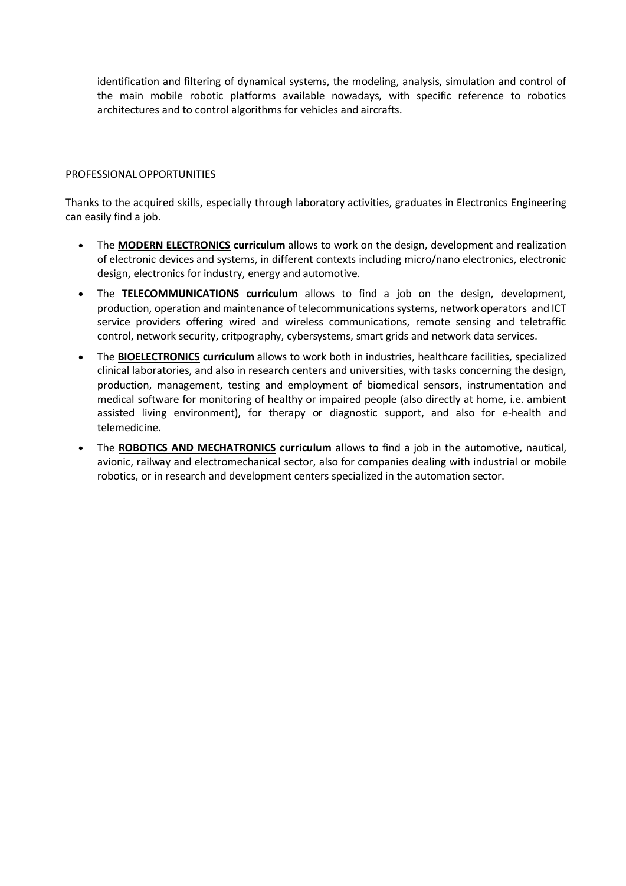identification and filtering of dynamical systems, the modeling, analysis, simulation and control of the main mobile robotic platforms available nowadays, with specific reference to robotics architectures and to control algorithms for vehicles and aircrafts.

#### PROFESSIONAL OPPORTUNITIES

Thanks to the acquired skills, especially through laboratory activities, graduates in Electronics Engineering can easily find a job.

- The **MODERN ELECTRONICS curriculum** allows to work on the design, development and realization of electronic devices and systems, in different contexts including micro/nano electronics, electronic design, electronics for industry, energy and automotive.
- The **TELECOMMUNICATIONS curriculum** allows to find a job on the design, development, production, operation and maintenance of telecommunications systems, networkoperators and ICT service providers offering wired and wireless communications, remote sensing and teletraffic control, network security, critpography, cybersystems, smart grids and network data services.
- The **BIOELECTRONICS curriculum** allows to work both in industries, healthcare facilities, specialized clinical laboratories, and also in research centers and universities, with tasks concerning the design, production, management, testing and employment of biomedical sensors, instrumentation and medical software for monitoring of healthy or impaired people (also directly at home, i.e. ambient assisted living environment), for therapy or diagnostic support, and also for e-health and telemedicine.
- The **ROBOTICS AND MECHATRONICS curriculum** allows to find a job in the automotive, nautical, avionic, railway and electromechanical sector, also for companies dealing with industrial or mobile robotics, or in research and development centers specialized in the automation sector.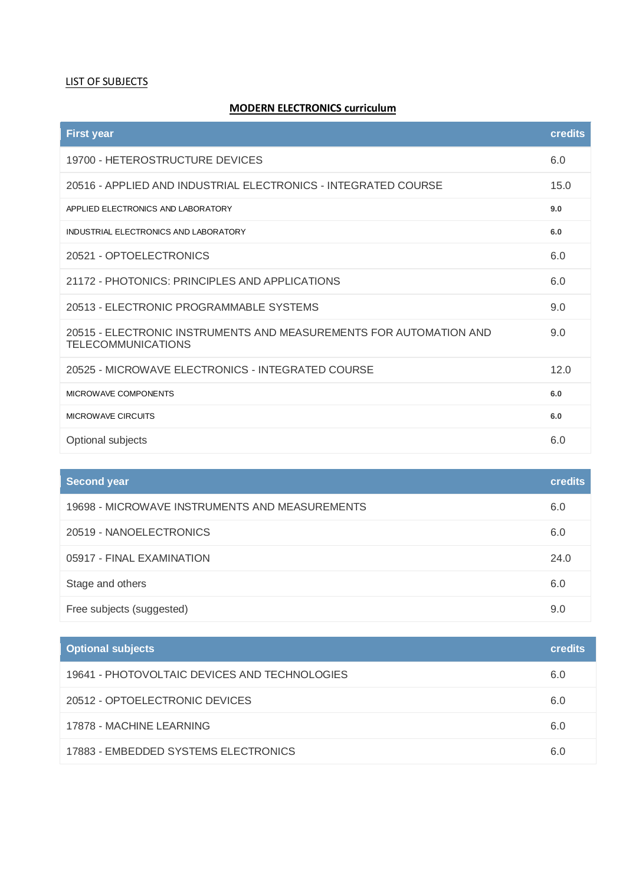#### LIST OF SUBJECTS

### **MODERN ELECTRONICS curriculum**

| <b>First year</b>                                                                               | credits |
|-------------------------------------------------------------------------------------------------|---------|
| 19700 - HETEROSTRUCTURE DEVICES                                                                 | 6.0     |
| 20516 - APPLIED AND INDUSTRIAL ELECTRONICS - INTEGRATED COURSE                                  | 15.0    |
| APPLIED ELECTRONICS AND LABORATORY                                                              | 9.0     |
| INDUSTRIAL ELECTRONICS AND LABORATORY                                                           | 6.0     |
| 20521 - OPTOELECTRONICS                                                                         | 6.0     |
| 21172 - PHOTONICS: PRINCIPLES AND APPLICATIONS                                                  | 6.0     |
| 20513 - ELECTRONIC PROGRAMMABLE SYSTEMS                                                         | 9.0     |
| 20515 - ELECTRONIC INSTRUMENTS AND MEASUREMENTS FOR AUTOMATION AND<br><b>TELECOMMUNICATIONS</b> | 9.0     |
| 20525 - MICROWAVE ELECTRONICS - INTEGRATED COURSE                                               | 12.0    |
| MICROWAVE COMPONENTS                                                                            | 6.0     |
| <b>MICROWAVE CIRCUITS</b>                                                                       | 6.0     |
| Optional subjects                                                                               | 6.0     |

| <b>Second year</b>                             | <b>credits</b> |
|------------------------------------------------|----------------|
| 19698 - MICROWAVE INSTRUMENTS AND MEASUREMENTS | 6.0            |
| 20519 - NANOELECTRONICS                        | 6.0            |
| 05917 - FINAL EXAMINATION                      | 24.0           |
| Stage and others                               | 6.0            |
| Free subjects (suggested)                      | 9.0            |

| <b>Optional subjects</b>                      | <b>credits</b> |
|-----------------------------------------------|----------------|
| 19641 - PHOTOVOLTAIC DEVICES AND TECHNOLOGIES | 6.0            |
| 20512 - OPTOELECTRONIC DEVICES                | 6.0            |
| 17878 - MACHINE LEARNING                      | 6.0            |
| 17883 - EMBEDDED SYSTEMS ELECTRONICS          | 6.0            |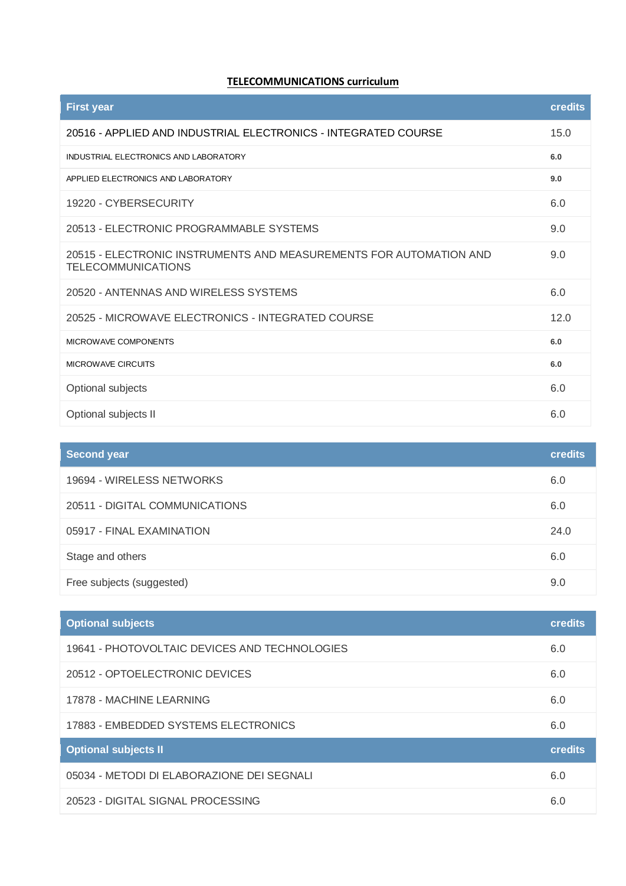## **TELECOMMUNICATIONS curriculum**

| <b>First year</b>                                                                               | credits |
|-------------------------------------------------------------------------------------------------|---------|
| 20516 - APPLIED AND INDUSTRIAL ELECTRONICS - INTEGRATED COURSE                                  | 15.0    |
| INDUSTRIAL ELECTRONICS AND LABORATORY                                                           | 6.0     |
| APPLIED ELECTRONICS AND LABORATORY                                                              | 9.0     |
| 19220 - CYBERSECURITY                                                                           | 6.0     |
| 20513 - ELECTRONIC PROGRAMMABLE SYSTEMS                                                         | 9.0     |
| 20515 - ELECTRONIC INSTRUMENTS AND MEASUREMENTS FOR AUTOMATION AND<br><b>TELECOMMUNICATIONS</b> | 9.0     |
| 20520 - ANTENNAS AND WIRELESS SYSTEMS                                                           | 6.0     |
| 20525 - MICROWAVE ELECTRONICS - INTEGRATED COURSE                                               | 12.0    |
| MICROWAVE COMPONENTS                                                                            | 6.0     |
| <b>MICROWAVE CIRCUITS</b>                                                                       | 6.0     |
| Optional subjects                                                                               | 6.0     |
| Optional subjects II                                                                            | 6.0     |

| <b>Second year</b>             | <b>credits</b> |
|--------------------------------|----------------|
| 19694 - WIRELESS NETWORKS      | 6.0            |
| 20511 - DIGITAL COMMUNICATIONS | 6.0            |
| 05917 - FINAL EXAMINATION      | 24.0           |
| Stage and others               | 6.0            |
| Free subjects (suggested)      | 9.0            |

| <b>Optional subjects</b>                      | <b>credits</b> |
|-----------------------------------------------|----------------|
| 19641 - PHOTOVOLTAIC DEVICES AND TECHNOLOGIES | 6.0            |
| 20512 - OPTOELECTRONIC DEVICES                | 6.0            |
| 17878 - MACHINE LEARNING                      | 6.0            |
| 17883 - EMBEDDED SYSTEMS ELECTRONICS          | 6.0            |
| <b>Optional subjects II</b>                   | <b>credits</b> |
| 05034 - METODI DI ELABORAZIONE DEI SEGNALI    | 6.0            |
| 20523 - DIGITAL SIGNAL PROCESSING             | 6.0            |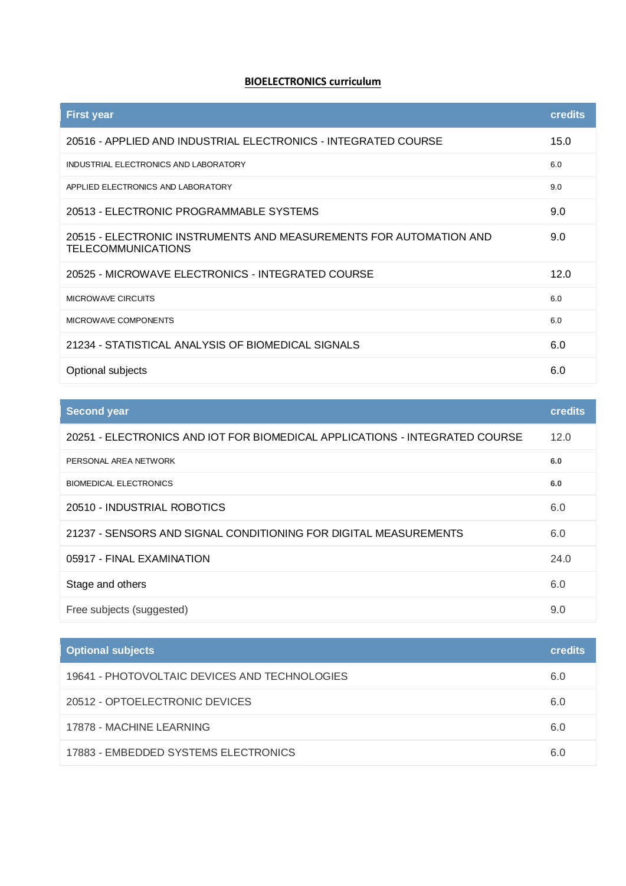## **BIOELECTRONICS curriculum**

| <b>First year</b>                                                                               | <b>credits</b> |
|-------------------------------------------------------------------------------------------------|----------------|
| 20516 - APPLIED AND INDUSTRIAL ELECTRONICS - INTEGRATED COURSE                                  | 15.0           |
| INDUSTRIAL ELECTRONICS AND LABORATORY                                                           | 6.0            |
| APPLIED ELECTRONICS AND LABORATORY                                                              | 9.0            |
| 20513 - ELECTRONIC PROGRAMMABLE SYSTEMS                                                         | 9.0            |
| 20515 - ELECTRONIC INSTRUMENTS AND MEASUREMENTS FOR AUTOMATION AND<br><b>TELECOMMUNICATIONS</b> | 9.0            |
| 20525 - MICROWAVE ELECTRONICS - INTEGRATED COURSE                                               | 12.0           |
| <b>MICROWAVE CIRCUITS</b>                                                                       | 6.0            |
| MICROWAVE COMPONENTS                                                                            | 6.0            |
| 21234 - STATISTICAL ANALYSIS OF BIOMEDICAL SIGNALS                                              | 6.0            |
| Optional subjects                                                                               | 6.0            |

| <b>Second year</b>                                                          | credits |
|-----------------------------------------------------------------------------|---------|
| 20251 - ELECTRONICS AND IOT FOR BIOMEDICAL APPLICATIONS - INTEGRATED COURSE | 12.0    |
| PERSONAL AREA NETWORK                                                       | 6.0     |
| <b>BIOMEDICAL ELECTRONICS</b>                                               | 6.0     |
| 20510 - INDUSTRIAL ROBOTICS                                                 | 6.0     |
| 21237 - SENSORS AND SIGNAL CONDITIONING FOR DIGITAL MEASUREMENTS            | 6.0     |
| 05917 - FINAL EXAMINATION                                                   | 24.0    |
| Stage and others                                                            | 6.0     |
| Free subjects (suggested)                                                   | 9.0     |

| <b>Optional subjects</b>                      | <b>credits</b> |
|-----------------------------------------------|----------------|
| 19641 - PHOTOVOLTAIC DEVICES AND TECHNOLOGIES | 6.0            |
| 20512 - OPTOELECTRONIC DEVICES                | 6.0            |
| 17878 - MACHINE LEARNING                      | 6.0            |
| 17883 - EMBEDDED SYSTEMS ELECTRONICS          | 6.0            |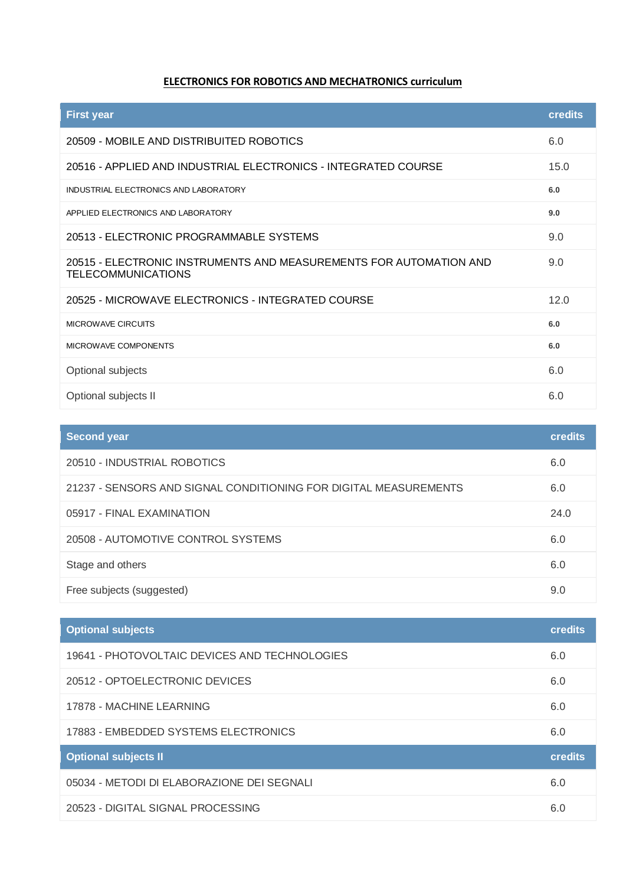# **ELECTRONICS FOR ROBOTICS AND MECHATRONICS curriculum**

| <b>First year</b>                                                                               | <b>credits</b> |
|-------------------------------------------------------------------------------------------------|----------------|
| 20509 - MOBILE AND DISTRIBUITED ROBOTICS                                                        | 6.0            |
| 20516 - APPLIED AND INDUSTRIAL ELECTRONICS - INTEGRATED COURSE                                  | 15.0           |
| INDUSTRIAL ELECTRONICS AND LABORATORY                                                           | 6.0            |
| APPLIED ELECTRONICS AND LABORATORY                                                              | 9.0            |
| 20513 - ELECTRONIC PROGRAMMABLE SYSTEMS                                                         | 9.0            |
| 20515 - ELECTRONIC INSTRUMENTS AND MEASUREMENTS FOR AUTOMATION AND<br><b>TELECOMMUNICATIONS</b> | 9.0            |
| 20525 - MICROWAVE ELECTRONICS - INTEGRATED COURSE                                               | 12.0           |
| <b>MICROWAVE CIRCUITS</b>                                                                       | 6.0            |
| MICROWAVE COMPONENTS                                                                            | 6.0            |
| Optional subjects                                                                               | 6.0            |
| Optional subjects II                                                                            | 6.0            |

| <b>Second year</b>                                               | <b>credits</b> |
|------------------------------------------------------------------|----------------|
| 20510 - INDUSTRIAL ROBOTICS                                      | 6.0            |
| 21237 - SENSORS AND SIGNAL CONDITIONING FOR DIGITAL MEASUREMENTS | 6.0            |
| 05917 - FINAL EXAMINATION                                        | 24.0           |
| 20508 - AUTOMOTIVE CONTROL SYSTEMS                               | 6.0            |
| Stage and others                                                 | 6.0            |
| Free subjects (suggested)                                        | 9.0            |

| <b>Optional subjects</b>                      | <b>credits</b> |
|-----------------------------------------------|----------------|
| 19641 - PHOTOVOLTAIC DEVICES AND TECHNOLOGIES | 6.0            |
| 20512 - OPTOELECTRONIC DEVICES                | 6.0            |
| 17878 - MACHINE LEARNING                      | 6.0            |
| 17883 - EMBEDDED SYSTEMS ELECTRONICS          | 6.0            |
| <b>Optional subjects II</b>                   | <b>credits</b> |
| 05034 - METODI DI ELABORAZIONE DEI SEGNALI    | 6.0            |
| 20523 - DIGITAL SIGNAL PROCESSING             | 6.0            |